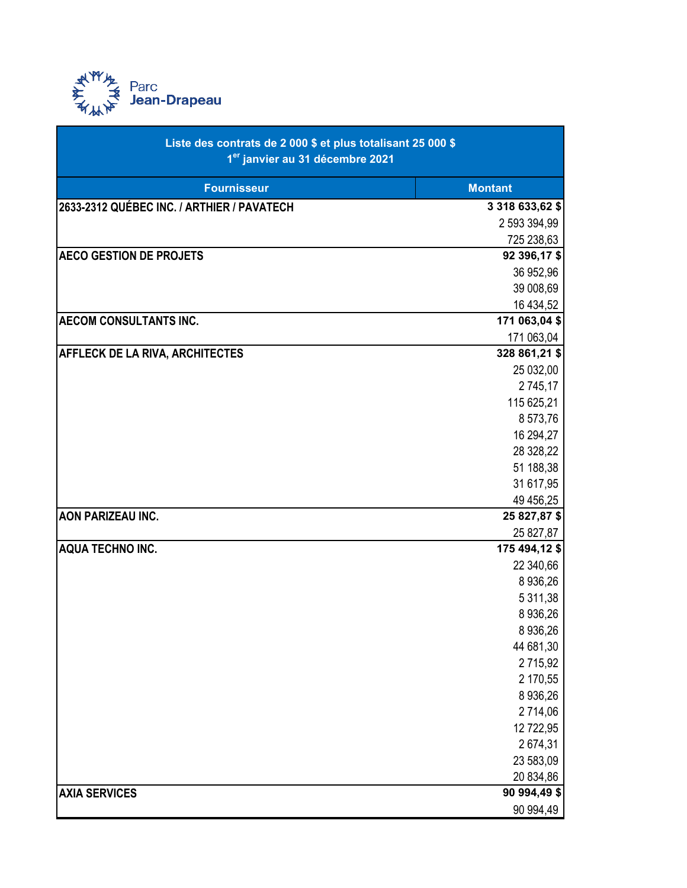

| <b>Fournisseur</b><br><b>Montant</b><br>2633-2312 QUÉBEC INC. / ARTHIER / PAVATECH<br>3 318 633,62 \$<br>2 593 394,99<br>725 238,63<br><b>AECO GESTION DE PROJETS</b><br>92 396,17 \$<br>36 952,96<br>39 008,69<br>16 434,52<br><b>AECOM CONSULTANTS INC.</b><br>171 063,04 \$<br>171 063,04<br>328 861,21 \$<br><b>AFFLECK DE LA RIVA, ARCHITECTES</b><br>25 032,00<br>2 745,17<br>115 625,21<br>8 573,76<br>16 294,27<br>28 328,22<br>51 188,38<br>31 617,95<br>49 456,25<br><b>AON PARIZEAU INC.</b><br>25 827,87 \$<br>25 827,87<br><b>AQUA TECHNO INC.</b><br>175 494,12 \$<br>22 340,66<br>8 9 36, 26<br>5 311,38<br>8 936,26<br>8 9 36, 26<br>44 681,30<br>2715,92<br>2 170,55<br>8 9 36, 26<br>2 714,06<br>12 722,95<br>2674,31<br>23 583,09<br>20 834,86<br><b>AXIA SERVICES</b><br>90 994,49 \$<br>90 994,49 | Liste des contrats de 2 000 \$ et plus totalisant 25 000 \$<br>1 <sup>er</sup> janvier au 31 décembre 2021 |  |
|------------------------------------------------------------------------------------------------------------------------------------------------------------------------------------------------------------------------------------------------------------------------------------------------------------------------------------------------------------------------------------------------------------------------------------------------------------------------------------------------------------------------------------------------------------------------------------------------------------------------------------------------------------------------------------------------------------------------------------------------------------------------------------------------------------------------|------------------------------------------------------------------------------------------------------------|--|
|                                                                                                                                                                                                                                                                                                                                                                                                                                                                                                                                                                                                                                                                                                                                                                                                                        |                                                                                                            |  |
|                                                                                                                                                                                                                                                                                                                                                                                                                                                                                                                                                                                                                                                                                                                                                                                                                        |                                                                                                            |  |
|                                                                                                                                                                                                                                                                                                                                                                                                                                                                                                                                                                                                                                                                                                                                                                                                                        |                                                                                                            |  |
|                                                                                                                                                                                                                                                                                                                                                                                                                                                                                                                                                                                                                                                                                                                                                                                                                        |                                                                                                            |  |
|                                                                                                                                                                                                                                                                                                                                                                                                                                                                                                                                                                                                                                                                                                                                                                                                                        |                                                                                                            |  |
|                                                                                                                                                                                                                                                                                                                                                                                                                                                                                                                                                                                                                                                                                                                                                                                                                        |                                                                                                            |  |
|                                                                                                                                                                                                                                                                                                                                                                                                                                                                                                                                                                                                                                                                                                                                                                                                                        |                                                                                                            |  |
|                                                                                                                                                                                                                                                                                                                                                                                                                                                                                                                                                                                                                                                                                                                                                                                                                        |                                                                                                            |  |
|                                                                                                                                                                                                                                                                                                                                                                                                                                                                                                                                                                                                                                                                                                                                                                                                                        |                                                                                                            |  |
|                                                                                                                                                                                                                                                                                                                                                                                                                                                                                                                                                                                                                                                                                                                                                                                                                        |                                                                                                            |  |
|                                                                                                                                                                                                                                                                                                                                                                                                                                                                                                                                                                                                                                                                                                                                                                                                                        |                                                                                                            |  |
|                                                                                                                                                                                                                                                                                                                                                                                                                                                                                                                                                                                                                                                                                                                                                                                                                        |                                                                                                            |  |
|                                                                                                                                                                                                                                                                                                                                                                                                                                                                                                                                                                                                                                                                                                                                                                                                                        |                                                                                                            |  |
|                                                                                                                                                                                                                                                                                                                                                                                                                                                                                                                                                                                                                                                                                                                                                                                                                        |                                                                                                            |  |
|                                                                                                                                                                                                                                                                                                                                                                                                                                                                                                                                                                                                                                                                                                                                                                                                                        |                                                                                                            |  |
|                                                                                                                                                                                                                                                                                                                                                                                                                                                                                                                                                                                                                                                                                                                                                                                                                        |                                                                                                            |  |
|                                                                                                                                                                                                                                                                                                                                                                                                                                                                                                                                                                                                                                                                                                                                                                                                                        |                                                                                                            |  |
|                                                                                                                                                                                                                                                                                                                                                                                                                                                                                                                                                                                                                                                                                                                                                                                                                        |                                                                                                            |  |
|                                                                                                                                                                                                                                                                                                                                                                                                                                                                                                                                                                                                                                                                                                                                                                                                                        |                                                                                                            |  |
|                                                                                                                                                                                                                                                                                                                                                                                                                                                                                                                                                                                                                                                                                                                                                                                                                        |                                                                                                            |  |
|                                                                                                                                                                                                                                                                                                                                                                                                                                                                                                                                                                                                                                                                                                                                                                                                                        |                                                                                                            |  |
|                                                                                                                                                                                                                                                                                                                                                                                                                                                                                                                                                                                                                                                                                                                                                                                                                        |                                                                                                            |  |
|                                                                                                                                                                                                                                                                                                                                                                                                                                                                                                                                                                                                                                                                                                                                                                                                                        |                                                                                                            |  |
|                                                                                                                                                                                                                                                                                                                                                                                                                                                                                                                                                                                                                                                                                                                                                                                                                        |                                                                                                            |  |
|                                                                                                                                                                                                                                                                                                                                                                                                                                                                                                                                                                                                                                                                                                                                                                                                                        |                                                                                                            |  |
|                                                                                                                                                                                                                                                                                                                                                                                                                                                                                                                                                                                                                                                                                                                                                                                                                        |                                                                                                            |  |
|                                                                                                                                                                                                                                                                                                                                                                                                                                                                                                                                                                                                                                                                                                                                                                                                                        |                                                                                                            |  |
|                                                                                                                                                                                                                                                                                                                                                                                                                                                                                                                                                                                                                                                                                                                                                                                                                        |                                                                                                            |  |
|                                                                                                                                                                                                                                                                                                                                                                                                                                                                                                                                                                                                                                                                                                                                                                                                                        |                                                                                                            |  |
|                                                                                                                                                                                                                                                                                                                                                                                                                                                                                                                                                                                                                                                                                                                                                                                                                        |                                                                                                            |  |
|                                                                                                                                                                                                                                                                                                                                                                                                                                                                                                                                                                                                                                                                                                                                                                                                                        |                                                                                                            |  |
|                                                                                                                                                                                                                                                                                                                                                                                                                                                                                                                                                                                                                                                                                                                                                                                                                        |                                                                                                            |  |
|                                                                                                                                                                                                                                                                                                                                                                                                                                                                                                                                                                                                                                                                                                                                                                                                                        |                                                                                                            |  |
|                                                                                                                                                                                                                                                                                                                                                                                                                                                                                                                                                                                                                                                                                                                                                                                                                        |                                                                                                            |  |
|                                                                                                                                                                                                                                                                                                                                                                                                                                                                                                                                                                                                                                                                                                                                                                                                                        |                                                                                                            |  |
|                                                                                                                                                                                                                                                                                                                                                                                                                                                                                                                                                                                                                                                                                                                                                                                                                        |                                                                                                            |  |
|                                                                                                                                                                                                                                                                                                                                                                                                                                                                                                                                                                                                                                                                                                                                                                                                                        |                                                                                                            |  |
|                                                                                                                                                                                                                                                                                                                                                                                                                                                                                                                                                                                                                                                                                                                                                                                                                        |                                                                                                            |  |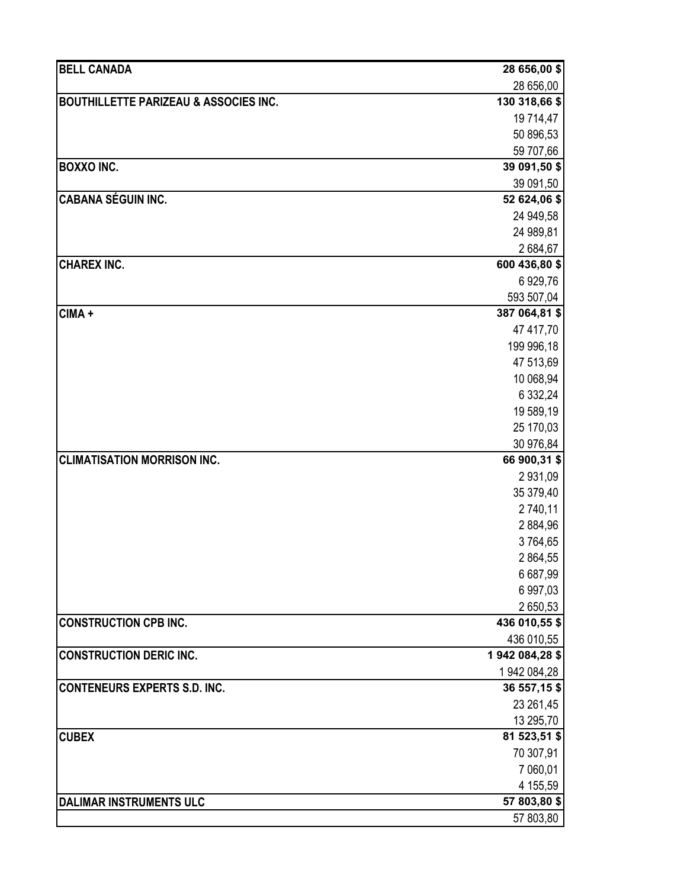| <b>BELL CANADA</b>                               | 28 656,00 \$            |
|--------------------------------------------------|-------------------------|
|                                                  | 28 656,00               |
| <b>BOUTHILLETTE PARIZEAU &amp; ASSOCIES INC.</b> | 130 318,66 \$           |
|                                                  | 19 714,47               |
|                                                  | 50 896,53               |
|                                                  | 59 707,66               |
| <b>BOXXO INC.</b>                                | 39 091,50 \$            |
|                                                  | 39 091,50               |
| <b>CABANA SÉGUIN INC.</b>                        | 52 624,06 \$            |
|                                                  | 24 949,58               |
|                                                  | 24 989,81               |
|                                                  | 2684,67                 |
| <b>CHAREX INC.</b>                               | 600 436,80 \$           |
|                                                  | 6 929,76                |
|                                                  | 593 507,04              |
| CIMA +                                           | 387 064,81 \$           |
|                                                  | 47 417,70               |
|                                                  | 199 996,18<br>47 513,69 |
|                                                  | 10 068,94               |
|                                                  | 6 332,24                |
|                                                  | 19 589,19               |
|                                                  | 25 170,03               |
|                                                  | 30 976,84               |
| <b>CLIMATISATION MORRISON INC.</b>               | 66 900,31 \$            |
|                                                  | 2 931,09                |
|                                                  | 35 379,40               |
|                                                  | 2 740,11                |
|                                                  | 2884,96                 |
|                                                  | 3764,65                 |
|                                                  | 2 864,55                |
|                                                  | 6 687,99                |
|                                                  | 6 997,03                |
|                                                  | 2 650,53                |
| <b>CONSTRUCTION CPB INC.</b>                     | 436 010,55 \$           |
|                                                  | 436 010,55              |
| <b>CONSTRUCTION DERIC INC.</b>                   | 1942 084,28 \$          |
|                                                  | 1 942 084,28            |
| <b>CONTENEURS EXPERTS S.D. INC.</b>              | 36 557,15 \$            |
|                                                  | 23 261,45               |
|                                                  | 13 295,70               |
| <b>CUBEX</b>                                     | 81 523,51 \$            |
|                                                  | 70 307,91               |
|                                                  | 7 060,01                |
|                                                  | 4 155,59                |
| <b>DALIMAR INSTRUMENTS ULC</b>                   | 57 803,80 \$            |
|                                                  | 57 803,80               |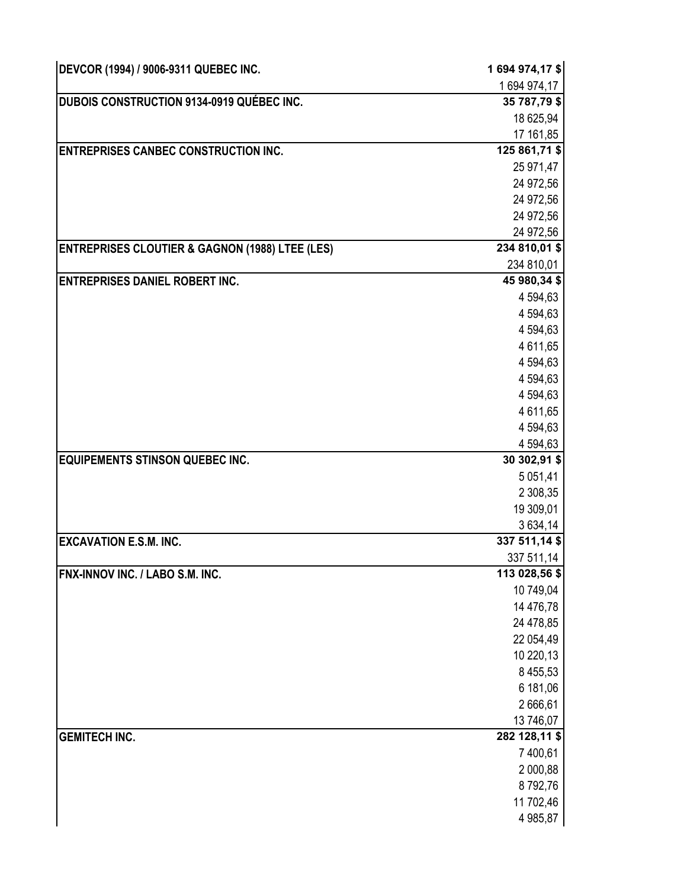| DEVCOR (1994) / 9006-9311 QUEBEC INC.                      | 1694 974,17\$        |
|------------------------------------------------------------|----------------------|
|                                                            | 1694 974,17          |
| <b>DUBOIS CONSTRUCTION 9134-0919 QUÉBEC INC.</b>           | 35 787,79 \$         |
|                                                            | 18 625,94            |
|                                                            | 17 161,85            |
| <b>ENTREPRISES CANBEC CONSTRUCTION INC.</b>                | 125 861,71 \$        |
|                                                            | 25 971,47            |
|                                                            | 24 972,56            |
|                                                            | 24 972,56            |
|                                                            | 24 972,56            |
|                                                            | 24 972,56            |
| <b>ENTREPRISES CLOUTIER &amp; GAGNON (1988) LTEE (LES)</b> | 234 810,01 \$        |
|                                                            | 234 810,01           |
| <b>ENTREPRISES DANIEL ROBERT INC.</b>                      | 45 980,34 \$         |
|                                                            | 4 594,63             |
|                                                            | 4 594,63             |
|                                                            | 4 594,63             |
|                                                            | 4 611,65<br>4 594,63 |
|                                                            | 4 594,63             |
|                                                            | 4 594,63             |
|                                                            | 4 611,65             |
|                                                            | 4 594,63             |
|                                                            | 4 594,63             |
| <b>EQUIPEMENTS STINSON QUEBEC INC.</b>                     | 30 302,91 \$         |
|                                                            | 5 0 5 1 , 4 1        |
|                                                            | 2 308,35             |
|                                                            | 19 309,01            |
|                                                            | 3 634,14             |
| <b>EXCAVATION E.S.M. INC.</b>                              | 337 511,14 \$        |
|                                                            | 337 511,14           |
| FNX-INNOV INC. / LABO S.M. INC.                            | 113 028,56 \$        |
|                                                            | 10 749,04            |
|                                                            | 14 476,78            |
|                                                            | 24 478,85            |
|                                                            | 22 054,49            |
|                                                            | 10 220,13            |
|                                                            | 8 4 5 5, 5 3         |
|                                                            | 6 181,06             |
|                                                            | 2666,61              |
|                                                            | 13 746,07            |
| <b>GEMITECH INC.</b>                                       | 282 128,11 \$        |
|                                                            | 7 400,61             |
|                                                            | 2 000,88             |
|                                                            | 8792,76              |
|                                                            | 11 702,46            |
|                                                            | 4 985,87             |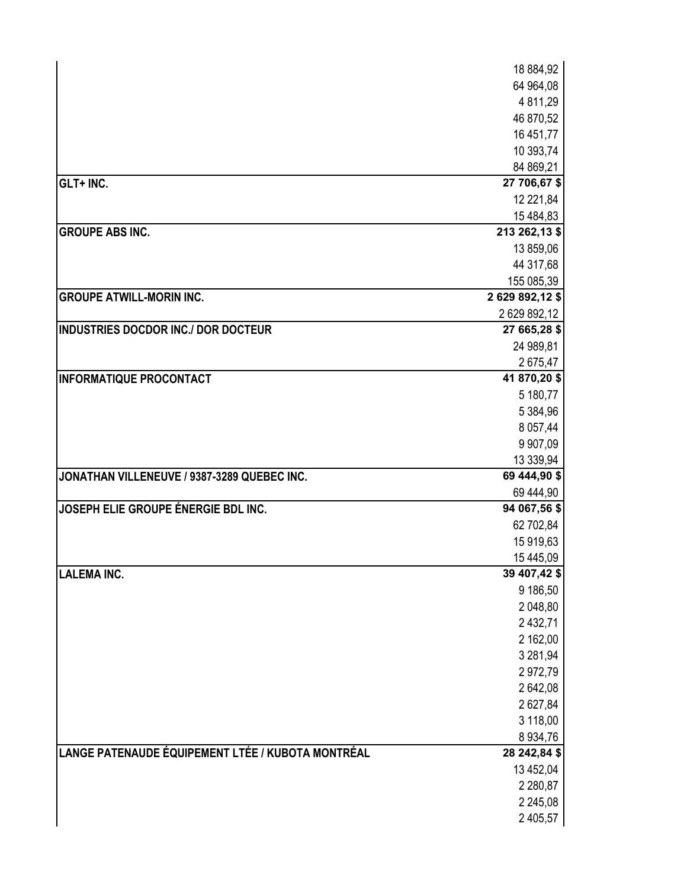|                                                   | 18 884,92                     |
|---------------------------------------------------|-------------------------------|
|                                                   | 64 964,08                     |
|                                                   | 4 811,29                      |
|                                                   | 46 870,52                     |
|                                                   | 16 451,77                     |
|                                                   | 10 393,74                     |
|                                                   | 84 869,21                     |
| GLT+ INC.                                         | 27 706,67 \$                  |
|                                                   | 12 221,84                     |
|                                                   | 15 484,83                     |
| <b>GROUPE ABS INC.</b>                            | 213 262,13 \$                 |
|                                                   | 13 859,06                     |
|                                                   | 44 317,68                     |
| <b>GROUPE ATWILL-MORIN INC.</b>                   | 155 085,39<br>2 629 892,12 \$ |
|                                                   | 2 629 892,12                  |
| <b>INDUSTRIES DOCDOR INC./ DOR DOCTEUR</b>        | 27 665,28 \$                  |
|                                                   | 24 989,81                     |
|                                                   | 2675,47                       |
| <b>INFORMATIQUE PROCONTACT</b>                    | 41 870,20 \$                  |
|                                                   | 5 180,77                      |
|                                                   | 5 384,96                      |
|                                                   | 8 0 57,44                     |
|                                                   | 9 907,09                      |
|                                                   | 13 339,94                     |
| JONATHAN VILLENEUVE / 9387-3289 QUEBEC INC.       | 69 444,90 \$                  |
|                                                   | 69 444,90                     |
| JOSEPH ELIE GROUPE ÉNERGIE BDL INC.               | 94 067,56 \$                  |
|                                                   | 62 702,84                     |
|                                                   | 15 919,63                     |
| <b>LALEMA INC.</b>                                | 15 445,09<br>39 407,42 \$     |
|                                                   | 9 186,50                      |
|                                                   | 2 048,80                      |
|                                                   | 2 432,71                      |
|                                                   | 2 162,00                      |
|                                                   | 3 281,94                      |
|                                                   | 2972,79                       |
|                                                   | 2 642,08                      |
|                                                   | 2 627,84                      |
|                                                   | 3 118,00                      |
|                                                   | 8 9 34, 76                    |
| LANGE PATENAUDE ÉQUIPEMENT LTÉE / KUBOTA MONTRÉAL | 28 242,84 \$                  |
|                                                   | 13 452,04                     |
|                                                   | 2 2 8 0, 8 7                  |
|                                                   | 2 2 4 5 , 0 8                 |
|                                                   | 2 405,57                      |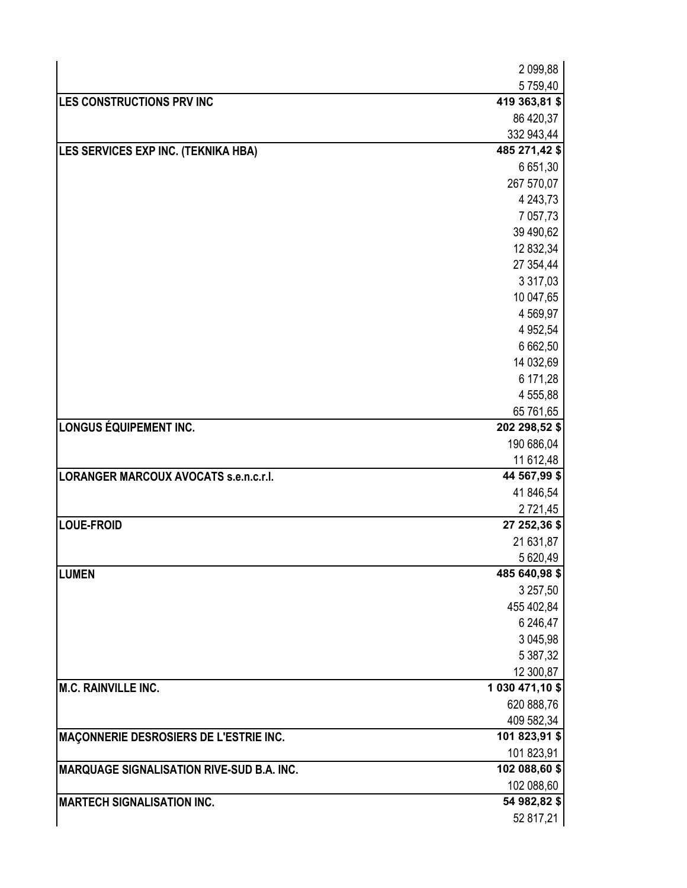|                                                  | 2 099,88        |
|--------------------------------------------------|-----------------|
|                                                  | 5759,40         |
| LES CONSTRUCTIONS PRV INC                        | 419 363,81 \$   |
|                                                  | 86 420,37       |
|                                                  | 332 943,44      |
| LES SERVICES EXP INC. (TEKNIKA HBA)              | 485 271,42 \$   |
|                                                  | 6 651,30        |
|                                                  | 267 570,07      |
|                                                  | 4 243,73        |
|                                                  | 7 057,73        |
|                                                  | 39 490,62       |
|                                                  | 12 832,34       |
|                                                  | 27 354,44       |
|                                                  | 3 3 1 7,03      |
|                                                  | 10 047,65       |
|                                                  | 4 5 69, 97      |
|                                                  | 4 9 52, 54      |
|                                                  | 6 662,50        |
|                                                  | 14 032,69       |
|                                                  | 6 171,28        |
|                                                  | 4 555,88        |
|                                                  | 65 761,65       |
| <b>LONGUS ÉQUIPEMENT INC.</b>                    | 202 298,52 \$   |
|                                                  | 190 686,04      |
|                                                  | 11 612,48       |
| <b>LORANGER MARCOUX AVOCATS s.e.n.c.r.l.</b>     | 44 567,99 \$    |
|                                                  | 41 846,54       |
|                                                  | 2 7 2 1 , 4 5   |
| <b>LOUE-FROID</b>                                | 27 252,36 \$    |
|                                                  | 21 631,87       |
|                                                  | 5 620,49        |
| <b>LUMEN</b>                                     | 485 640,98 \$   |
|                                                  | 3 257,50        |
|                                                  | 455 402,84      |
|                                                  | 6 246,47        |
|                                                  | 3 045,98        |
|                                                  | 5 387,32        |
|                                                  | 12 300,87       |
| <b>M.C. RAINVILLE INC.</b>                       | 1 030 471,10 \$ |
|                                                  | 620 888,76      |
|                                                  | 409 582,34      |
| MAÇONNERIE DESROSIERS DE L'ESTRIE INC.           | 101 823,91 \$   |
|                                                  | 101 823,91      |
| <b>MARQUAGE SIGNALISATION RIVE-SUD B.A. INC.</b> | 102 088,60 \$   |
|                                                  | 102 088,60      |
| <b>MARTECH SIGNALISATION INC.</b>                | 54 982,82 \$    |
|                                                  | 52 817,21       |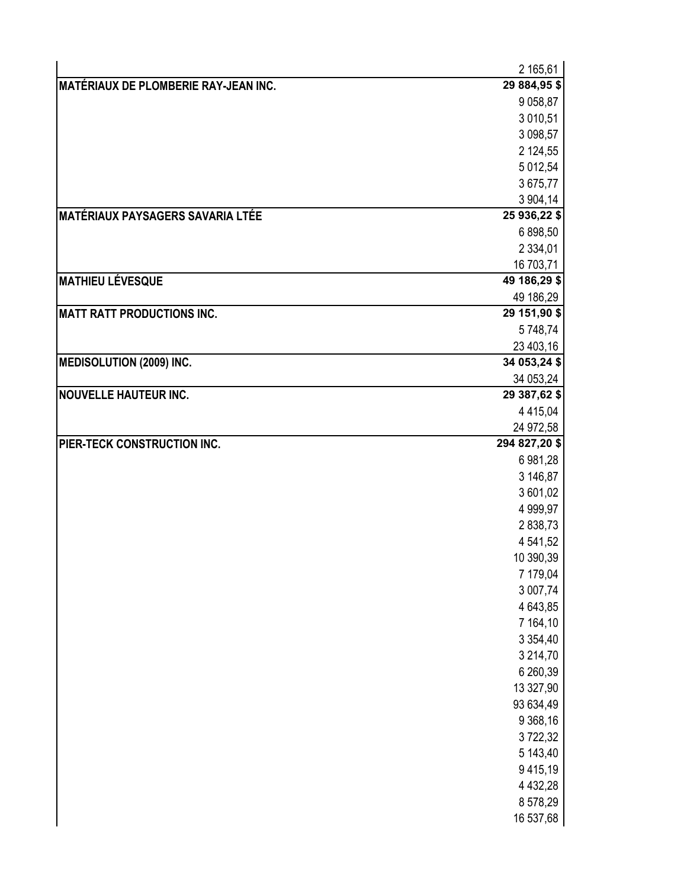|                                             | 2 165,61                  |
|---------------------------------------------|---------------------------|
| <b>MATÉRIAUX DE PLOMBERIE RAY-JEAN INC.</b> | 29 884,95 \$              |
|                                             | 9 0 58,87                 |
|                                             | 3 010,51                  |
|                                             | 3 098,57                  |
|                                             | 2 124,55                  |
|                                             | 5 012,54                  |
|                                             | 3675,77                   |
|                                             | 3 904,14                  |
| <b>MATÉRIAUX PAYSAGERS SAVARIA LTÉE</b>     | 25 936,22 \$              |
|                                             | 6 898,50                  |
|                                             | 2 3 3 4 , 0 1             |
| <b>MATHIEU LÉVESQUE</b>                     | 16 703,71<br>49 186,29 \$ |
|                                             | 49 186,29                 |
| <b>MATT RATT PRODUCTIONS INC.</b>           | 29 151,90 \$              |
|                                             | 5748,74                   |
|                                             | 23 403,16                 |
| <b>MEDISOLUTION (2009) INC.</b>             | 34 053,24 \$              |
|                                             | 34 053,24                 |
| <b>NOUVELLE HAUTEUR INC.</b>                | 29 387,62 \$              |
|                                             | 4 4 1 5 , 0 4             |
|                                             | 24 972,58                 |
| PIER-TECK CONSTRUCTION INC.                 | 294 827,20 \$             |
|                                             | 6 981,28                  |
|                                             | 3 146,87                  |
|                                             | 3 601,02                  |
|                                             | 4 999,97                  |
|                                             | 2 838,73                  |
|                                             | 4 541,52                  |
|                                             | 10 390,39                 |
|                                             | 7 179,04<br>3 007,74      |
|                                             | 4 643,85                  |
|                                             | 7 164,10                  |
|                                             | 3 3 5 4 , 4 0             |
|                                             | 3 214,70                  |
|                                             | 6 260,39                  |
|                                             | 13 327,90                 |
|                                             | 93 634,49                 |
|                                             | 9 368,16                  |
|                                             | 3722,32                   |
|                                             | 5 143,40                  |
|                                             | 9415,19                   |
|                                             | 4 4 3 2, 28               |
|                                             | 8 578,29                  |
|                                             |                           |
|                                             | 16 537,68                 |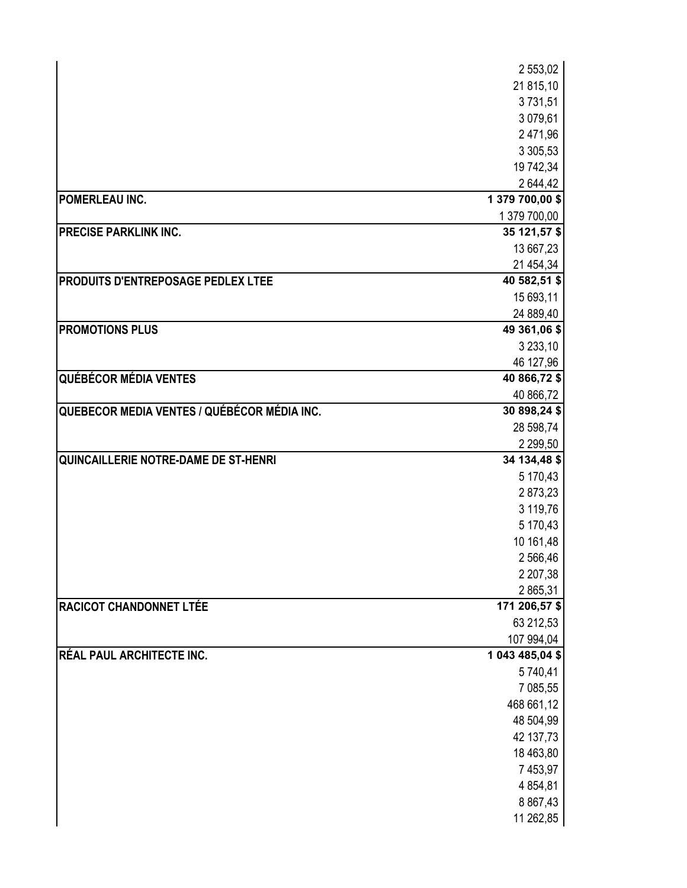|                                             | 2 553,02        |
|---------------------------------------------|-----------------|
|                                             | 21 815,10       |
|                                             | 3731,51         |
|                                             | 3 079,61        |
|                                             | 2 471,96        |
|                                             | 3 3 0 5, 5 3    |
|                                             | 19 742,34       |
|                                             | 2644,42         |
| POMERLEAU INC.                              | 1 379 700,00 \$ |
|                                             | 1 379 700,00    |
| <b>PRECISE PARKLINK INC.</b>                | 35 121,57 \$    |
|                                             | 13 667,23       |
|                                             | 21 454,34       |
| PRODUITS D'ENTREPOSAGE PEDLEX LTEE          | 40 582,51 \$    |
|                                             | 15 693,11       |
|                                             | 24 889,40       |
| <b>PROMOTIONS PLUS</b>                      | 49 361,06 \$    |
|                                             | 3 2 3 3 , 10    |
|                                             | 46 127,96       |
| <b>QUÉBÉCOR MÉDIA VENTES</b>                | 40 866,72 \$    |
|                                             | 40 866,72       |
| QUEBECOR MEDIA VENTES / QUÉBÉCOR MÉDIA INC. | 30 898,24 \$    |
|                                             | 28 598,74       |
|                                             | 2 2 9 5 0       |
| QUINCAILLERIE NOTRE-DAME DE ST-HENRI        | 34 134,48 \$    |
|                                             | 5 170,43        |
|                                             | 2873,23         |
|                                             | 3 119,76        |
|                                             | 5 170,43        |
|                                             | 10 161,48       |
|                                             | 2 566,46        |
|                                             | 2 207,38        |
|                                             | 2 865,31        |
| <b>RACICOT CHANDONNET LTÉE</b>              | 171 206,57 \$   |
|                                             | 63 212,53       |
|                                             | 107 994,04      |
| RÉAL PAUL ARCHITECTE INC.                   | 1 043 485,04 \$ |
|                                             | 5740,41         |
|                                             | 7 085,55        |
|                                             | 468 661,12      |
|                                             | 48 504,99       |
|                                             | 42 137,73       |
|                                             | 18 463,80       |
|                                             | 7 453,97        |
|                                             | 4 8 5 4 , 8 1   |
|                                             | 8 8 6 7, 4 3    |
|                                             | 11 262,85       |
|                                             |                 |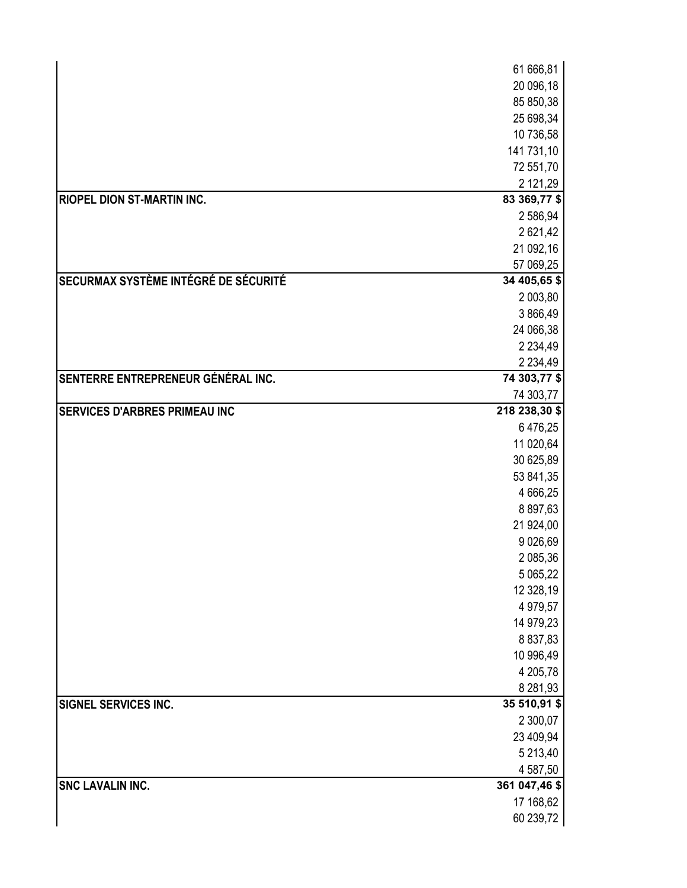|                                      | 61 666,81                 |
|--------------------------------------|---------------------------|
|                                      | 20 096,18                 |
|                                      | 85 850,38                 |
|                                      | 25 698,34                 |
|                                      | 10 736,58                 |
|                                      | 141 731,10                |
|                                      | 72 551,70                 |
|                                      | 2 121,29                  |
| <b>RIOPEL DION ST-MARTIN INC.</b>    | 83 369,77 \$              |
|                                      | 2 586,94                  |
|                                      | 2621,42                   |
|                                      | 21 092,16                 |
|                                      | 57 069,25                 |
| SECURMAX SYSTÈME INTÉGRÉ DE SÉCURITÉ | 34 405,65 \$              |
|                                      | 2 003,80                  |
|                                      | 3 866,49                  |
|                                      | 24 066,38                 |
|                                      | 2 2 3 4, 4 9              |
| SENTERRE ENTREPRENEUR GÉNÉRAL INC.   | 2 2 3 4, 4 9              |
|                                      | 74 303,77 \$<br>74 303,77 |
| <b>SERVICES D'ARBRES PRIMEAU INC</b> | 218 238,30 \$             |
|                                      | 6 476,25                  |
|                                      | 11 020,64                 |
|                                      | 30 625,89                 |
|                                      | 53 841,35                 |
|                                      | 4 666,25                  |
|                                      | 8 897,63                  |
|                                      | 21 924,00                 |
|                                      | 9 0 26,69                 |
|                                      | 2 085,36                  |
|                                      | 5 065,22                  |
|                                      | 12 328,19                 |
|                                      | 4 979,57                  |
|                                      | 14 979,23                 |
|                                      | 8 8 3 7, 8 3              |
|                                      | 10 996,49                 |
|                                      | 4 205,78                  |
|                                      | 8 281,93                  |
| SIGNEL SERVICES INC.                 | 35 510,91 \$              |
|                                      | 2 300,07                  |
|                                      | 23 409,94                 |
|                                      | 5 213,40                  |
|                                      | 4 587,50                  |
| <b>SNC LAVALIN INC.</b>              | 361 047,46 \$             |
|                                      | 17 168,62                 |
|                                      | 60 239,72                 |